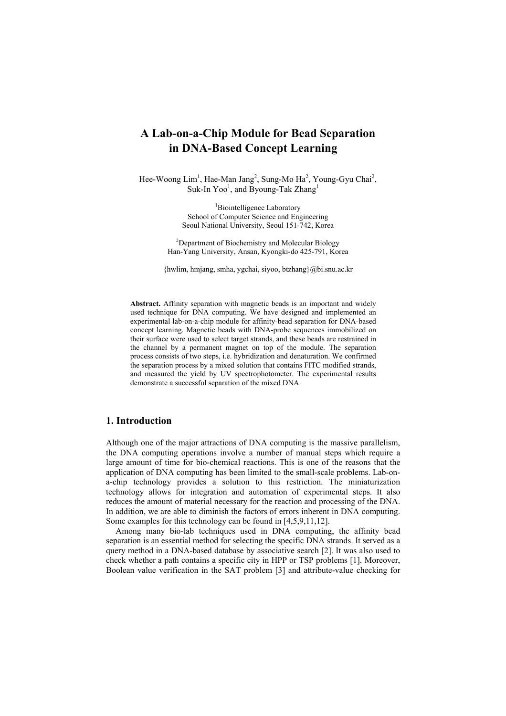# **A Lab-on-a-Chip Module for Bead Separation in DNA-Based Concept Learning**

Hee-Woong  $\text{Lim}^1$ , Hae-Man Jang<sup>2</sup>, Sung-Mo Ha<sup>2</sup>, Young-Gyu Chai<sup>2</sup>, Suk-In Yoo<sup>1</sup>, and Byoung-Tak Zhang<sup>1</sup>

> 1 Biointelligence Laboratory School of Computer Science and Engineering Seoul National University, Seoul 151-742, Korea

<sup>2</sup>Department of Biochemistry and Molecular Biology Han-Yang University, Ansan, Kyongki-do 425-791, Korea

{hwlim, hmjang, smha, ygchai, siyoo, btzhang}@bi.snu.ac.kr

**Abstract.** Affinity separation with magnetic beads is an important and widely used technique for DNA computing. We have designed and implemented an experimental lab-on-a-chip module for affinity-bead separation for DNA-based concept learning. Magnetic beads with DNA-probe sequences immobilized on their surface were used to select target strands, and these beads are restrained in the channel by a permanent magnet on top of the module. The separation process consists of two steps, i.e. hybridization and denaturation. We confirmed the separation process by a mixed solution that contains FITC modified strands, and measured the yield by UV spectrophotometer. The experimental results demonstrate a successful separation of the mixed DNA.

# **1. Introduction**

Although one of the major attractions of DNA computing is the massive parallelism, the DNA computing operations involve a number of manual steps which require a large amount of time for bio-chemical reactions. This is one of the reasons that the application of DNA computing has been limited to the small-scale problems. Lab-ona-chip technology provides a solution to this restriction. The miniaturization technology allows for integration and automation of experimental steps. It also reduces the amount of material necessary for the reaction and processing of the DNA. In addition, we are able to diminish the factors of errors inherent in DNA computing. Some examples for this technology can be found in [\[4,](#page-9-0)[5](#page-9-1)[,9,](#page-9-2)[11,](#page-9-3)[12\]](#page-9-4).

Among many bio-lab techniques used in DNA computing, the affinity bead separation is an essential method for selecting the specific DNA strands. It served as a query method in a DNA-based database by associative search [[2\]](#page-8-0). It was also used to check whether a path contains a specific city in HPP or TSP problems [[1\]](#page-8-1). Moreover, Boolean value verification in the SAT problem [[3\]](#page-9-5) and attribute-value checking for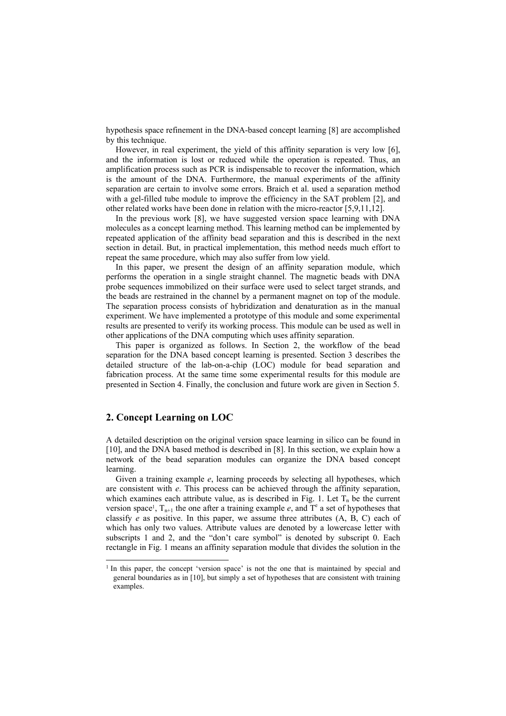hypothesis space refinement in the DNA-based concept learning [\[8\]](#page-9-6) are accomplished by this technique.

However, in real experiment, the yield of this affinity separation is very low [[6\]](#page-9-7), and the information is lost or reduced while the operation is repeated. Thus, an amplification process such as PCR is indispensable to recover the information, which is the amount of the DNA. Furthermore, the manual experiments of the affinity separation are certain to involve some errors. Braich et al. used a separation method with a gel-filled tube module to improve the efficiency in the SAT problem [\[2\]](#page-9-8), and other related works have been done in relation with the micro-reactor [[5,](#page-9-1)[9](#page-9-2)[,11](#page-9-3)[,12\]](#page-9-4).

In the previous work [[8\]](#page-9-6), we have suggested version space learning with DNA molecules as a concept learning method. This learning method can be implemented by repeated application of the affinity bead separation and this is described in the next section in detail. But, in practical implementation, this method needs much effort to repeat the same procedure, which may also suffer from low yield.

In this paper, we present the design of an affinity separation module, which performs the operation in a single straight channel. The magnetic beads with DNA probe sequences immobilized on their surface were used to select target strands, and the beads are restrained in the channel by a permanent magnet on top of the module. The separation process consists of hybridization and denaturation as in the manual experiment. We have implemented a prototype of this module and some experimental results are presented to verify its working process. This module can be used as well in other applications of the DNA computing which uses affinity separation.

This paper is organized as follows. In Section 2, the workflow of the bead separation for the DNA based concept learning is presented. Section 3 describes the detailed structure of the lab-on-a-chip (LOC) module for bead separation and fabrication process. At the same time some experimental results for this module are presented in Section 4. Finally, the conclusion and future work are given in Section 5.

# **2. Concept Learning on LOC**

l

A detailed description on the original version space learning in silico can be found in [\[10\]](#page-9-9), and the DNA based method is described in [[8\]](#page-9-6). In this section, we explain how a network of the bead separation modules can organize the DNA based concept learning.

Given a training example *e*, learning proceeds by selecting all hypotheses, which are consistent with *e*. This process can be achieved through the affinity separation, which examines each attribute value, as is described in Fig. 1. Let  $T_n$  be the current version space<sup>1</sup>,  $T_{n+1}$  the one after a training example  $e$ , and  $T<sup>e</sup>$  a set of hypotheses that classify *e* as positive. In this paper, we assume three attributes (A, B, C) each of which has only two values. Attribute values are denoted by a lowercase letter with subscripts 1 and 2, and the "don't care symbol" is denoted by subscript 0. Each rectangle in Fig. 1 means an affinity separation module that divides the solution in the

<span id="page-1-0"></span> $<sup>1</sup>$  In this paper, the concept 'version space' is not the one that is maintained by special and</sup> general boundaries as in [10], but simply a set of hypotheses that are consistent with training examples.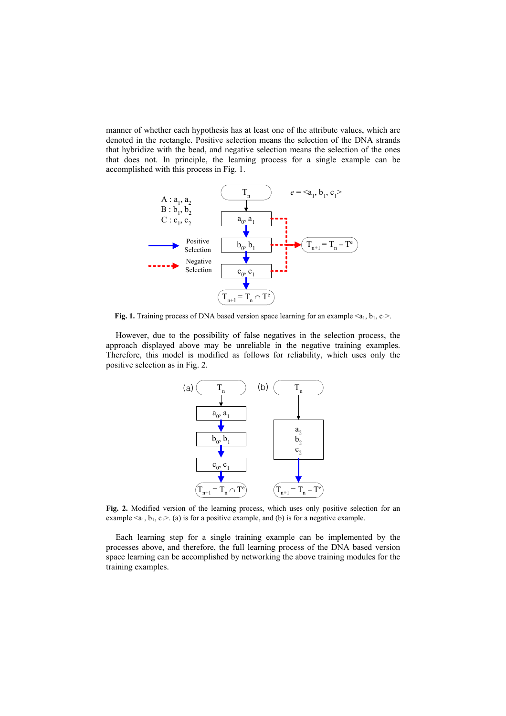manner of whether each hypothesis has at least one of the attribute values, which are denoted in the rectangle. Positive selection means the selection of the DNA strands that hybridize with the bead, and negative selection means the selection of the ones that does not. In principle, the learning process for a single example can be accomplished with this process in Fig. 1.



**Fig. 1.** Training process of DNA based version space learning for an example  $\langle a_1, b_1, c_1 \rangle$ .

However, due to the possibility of false negatives in the selection process, the approach displayed above may be unreliable in the negative training examples. Therefore, this model is modified as follows for reliability, which uses only the positive selection as in Fig. 2.



**Fig. 2.** Modified version of the learning process, which uses only positive selection for an example  $\le a_1, b_1, c_1 \ge (a)$  is for a positive example, and (b) is for a negative example.

Each learning step for a single training example can be implemented by the processes above, and therefore, the full learning process of the DNA based version space learning can be accomplished by networking the above training modules for the training examples.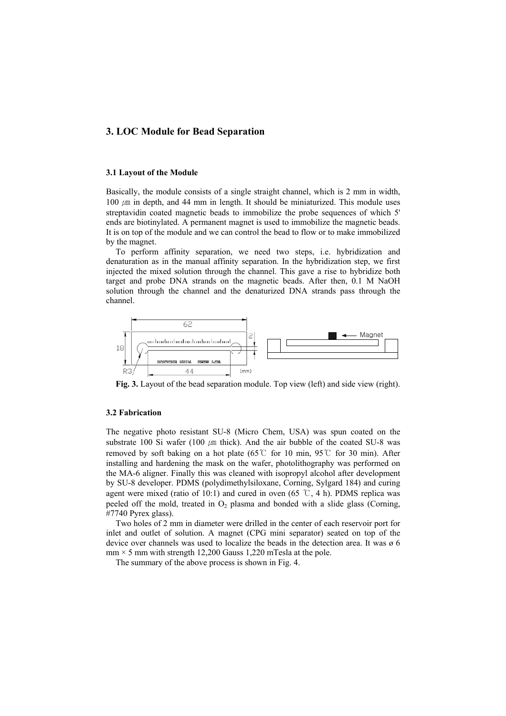# **3. LOC Module for Bead Separation**

#### **3.1 Layout of the Module**

Basically, the module consists of a single straight channel, which is 2 mm in width, 100  $\mu$ m in depth, and 44 mm in length. It should be miniaturized. This module uses streptavidin coated magnetic beads to immobilize the probe sequences of which 5' ends are biotinylated. A permanent magnet is used to immobilize the magnetic beads. It is on top of the module and we can control the bead to flow or to make immobilized by the magnet.

To perform affinity separation, we need two steps, i.e. hybridization and denaturation as in the manual affinity separation. In the hybridization step, we first injected the mixed solution through the channel. This gave a rise to hybridize both target and probe DNA strands on the magnetic beads. After then, 0.1 M NaOH solution through the channel and the denaturized DNA strands pass through the channel.



**Fig. 3.** Layout of the bead separation module. Top view (left) and side view (right).

## **3.2 Fabrication**

The negative photo resistant SU-8 (Micro Chem, USA) was spun coated on the substrate 100 Si wafer (100  $\mu$ m thick). And the air bubble of the coated SU-8 was removed by soft baking on a hot plate (65°C for 10 min, 95°C for 30 min). After installing and hardening the mask on the wafer, photolithography was performed on the MA-6 aligner. Finally this was cleaned with isopropyl alcohol after development by SU-8 developer. PDMS (polydimethylsiloxane, Corning, Sylgard 184) and curing agent were mixed (ratio of 10:1) and cured in oven (65 °C, 4 h). PDMS replica was peeled off the mold, treated in  $O_2$  plasma and bonded with a slide glass (Corning, #7740 Pyrex glass).

Two holes of 2 mm in diameter were drilled in the center of each reservoir port for inlet and outlet of solution. A magnet (CPG mini separator) seated on top of the device over channels was used to localize the beads in the detection area. It was ø 6  $mm \times 5$  mm with strength 12,200 Gauss 1,220 mTesla at the pole.

The summary of the above process is shown in Fig. 4.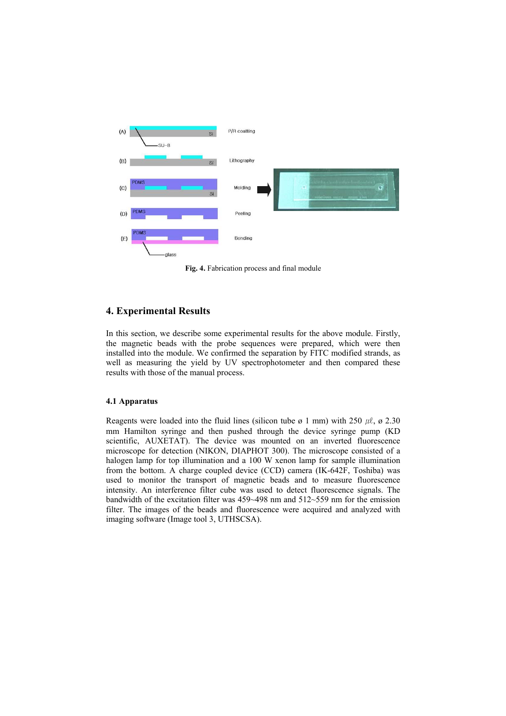

**Fig. 4.** Fabrication process and final module

# **4. Experimental Results**

In this section, we describe some experimental results for the above module. Firstly, the magnetic beads with the probe sequences were prepared, which were then installed into the module. We confirmed the separation by FITC modified strands, as well as measuring the yield by UV spectrophotometer and then compared these results with those of the manual process.

### **4.1 Apparatus**

Reagents were loaded into the fluid lines (silicon tube  $\alpha$  1 mm) with 250  $\mu$ ,  $\alpha$  2.30 mm Hamilton syringe and then pushed through the device syringe pump (KD scientific, AUXETAT). The device was mounted on an inverted fluorescence microscope for detection (NIKON, DIAPHOT 300). The microscope consisted of a halogen lamp for top illumination and a 100 W xenon lamp for sample illumination from the bottom. A charge coupled device (CCD) camera (IK-642F, Toshiba) was used to monitor the transport of magnetic beads and to measure fluorescence intensity. An interference filter cube was used to detect fluorescence signals. The bandwidth of the excitation filter was 459~498 nm and 512~559 nm for the emission filter. The images of the beads and fluorescence were acquired and analyzed with imaging software (Image tool 3, UTHSCSA).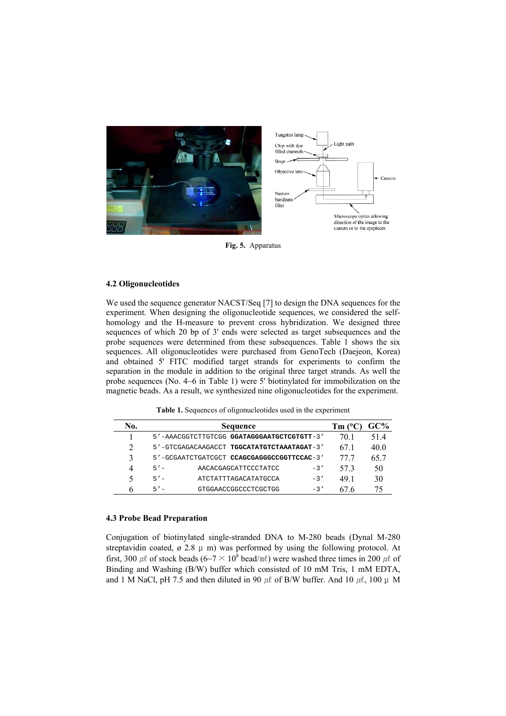

**Fig. 5.** Apparatus

#### **4.2 Oligonucleotides**

We used the sequence generator NACST/Seq [[7\]](#page-9-10) to design the DNA sequences for the experiment. When designing the oligonucleotide sequences, we considered the selfhomology and the H-measure to prevent cross hybridization. We designed three sequences of which 20 bp of 3' ends were selected as target subsequences and the probe sequences were determined from these subsequences. Table 1 shows the six sequences. All oligonucleotides were purchased from GenoTech (Daejeon, Korea) and obtained 5' FITC modified target strands for experiments to confirm the separation in the module in addition to the original three target strands. As well the probe sequences (No. 4~6 in Table 1) were 5' biotinylated for immobilization on the magnetic beads. As a result, we synthesized nine oligonucleotides for the experiment.

**Table 1.** Sequences of oligonucleotides used in the experiment

| No. | Sequence                                   | $Tm$ (° | $GC\%$ |
|-----|--------------------------------------------|---------|--------|
|     | 5'-AAACGGTCTTGTCGG GGATAGGGAATGCTCGTGTT-3' | 70 1    | 514    |
|     | 5'-GTCGAGACAAGACCT TGGCATATGTCTAAATAGAT-3' | 67 1    | 40 O   |
| 3   | 5'-GCGAATCTGATCGCT CCAGCGAGGGCCGGTTCCAC-3' | 77 7    | 65.7   |
| 4   | $-3'$<br>AACACGAGCATTCCCTATCC<br>$5' -$    | 573     | 50     |
|     | $-3'$<br>ATCTATTTAGACATATGCCA<br>$5 -$     | 49 1    | 30     |
|     | GTGGAACCGGCCCTCGCTGG<br>$-3'$<br>$5 -$     | 676     |        |

#### **4.3 Probe Bead Preparation**

Conjugation of biotinylated single-stranded DNA to M-280 beads (Dynal M-280 streptavidin coated, ø 2.8 μ m) was performed by using the following protocol. At first, 300  $\mu$  of stock beads (6~7  $\times$  10<sup>8</sup> bead/ $\text{m}$ ) were washed three times in 200  $\mu$  of Binding and Washing (B/W) buffer which consisted of 10 mM Tris, 1 mM EDTA, and 1 M NaCl, pH 7.5 and then diluted in 90  $\mu\ell$  of B/W buffer. And 10  $\mu\ell$ , 100  $\mu$  M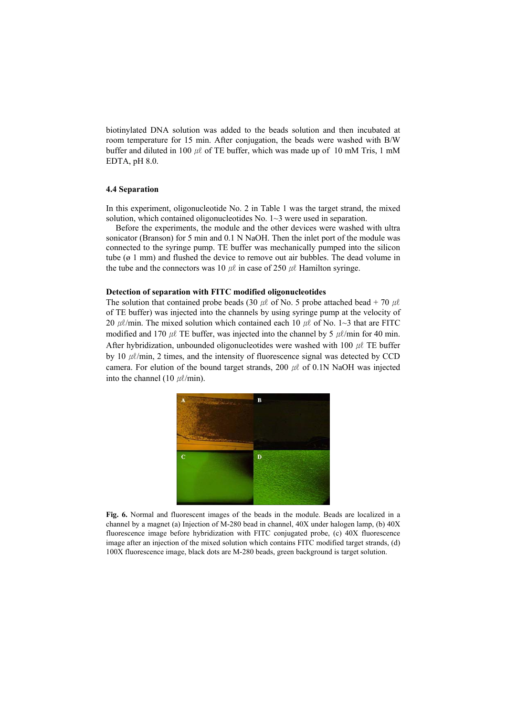biotinylated DNA solution was added to the beads solution and then incubated at room temperature for 15 min. After conjugation, the beads were washed with B/W buffer and diluted in 100  $\mu\ell$  of TE buffer, which was made up of 10 mM Tris, 1 mM EDTA, pH 8.0.

#### **4.4 Separation**

In this experiment, oligonucleotide No. 2 in Table 1 was the target strand, the mixed solution, which contained oligonucleotides No. 1~3 were used in separation.

Before the experiments, the module and the other devices were washed with ultra sonicator (Branson) for 5 min and 0.1 N NaOH. Then the inlet port of the module was connected to the syringe pump. TE buffer was mechanically pumped into the silicon tube (ø 1 mm) and flushed the device to remove out air bubbles. The dead volume in the tube and the connectors was 10  $\mu\ell$  in case of 250  $\mu\ell$  Hamilton syringe.

#### **Detection of separation with FITC modified oligonucleotides**

The solution that contained probe beads (30  $\mu$ ) of No. 5 probe attached bead + 70  $\mu$ ) of TE buffer) was injected into the channels by using syringe pump at the velocity of 20  $\mu$ *l*/min. The mixed solution which contained each 10  $\mu$ *l* of No. 1~3 that are FITC modified and 170  $\mu\ell$  TE buffer, was injected into the channel by 5  $\mu\ell$ /min for 40 min. After hybridization, unbounded oligonucleotides were washed with 100  $\mu$  TE buffer by 10  $\mu$ *l*/min, 2 times, and the intensity of fluorescence signal was detected by CCD camera. For elution of the bound target strands, 200  $\mu\ell$  of 0.1N NaOH was injected into the channel (10  $\mu$ l/min).



**Fig. 6.** Normal and fluorescent images of the beads in the module. Beads are localized in a channel by a magnet (a) Injection of M-280 bead in channel, 40X under halogen lamp, (b) 40X fluorescence image before hybridization with FITC conjugated probe, (c) 40X fluorescence image after an injection of the mixed solution which contains FITC modified target strands, (d) 100X fluorescence image, black dots are M-280 beads, green background is target solution.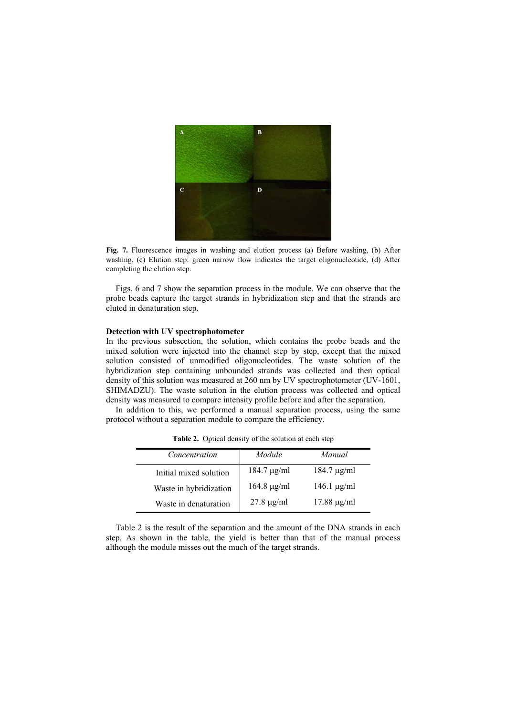

**Fig. 7.** Fluorescence images in washing and elution process (a) Before washing, (b) After washing, (c) Elution step: green narrow flow indicates the target oligonucleotide, (d) After completing the elution step.

Figs. 6 and 7 show the separation process in the module. We can observe that the probe beads capture the target strands in hybridization step and that the strands are eluted in denaturation step.

#### **Detection with UV spectrophotometer**

In the previous subsection, the solution, which contains the probe beads and the mixed solution were injected into the channel step by step, except that the mixed solution consisted of unmodified oligonucleotides. The waste solution of the hybridization step containing unbounded strands was collected and then optical density of this solution was measured at 260 nm by UV spectrophotometer (UV-1601, SHIMADZU). The waste solution in the elution process was collected and optical density was measured to compare intensity profile before and after the separation.

In addition to this, we performed a manual separation process, using the same protocol without a separation module to compare the efficiency.

| Concentration          | Module           | Manual           |
|------------------------|------------------|------------------|
| Initial mixed solution | $184.7 \mu g/ml$ | $184.7 \mu g/ml$ |
| Waste in hybridization | $164.8 \mu g/ml$ | 146.1 $\mu$ g/ml |
| Waste in denaturation  | $27.8 \mu g/ml$  | $17.88 \mu g/ml$ |

**Table 2.** Optical density of the solution at each step

Table 2 is the result of the separation and the amount of the DNA strands in each step. As shown in the table, the yield is better than that of the manual process although the module misses out the much of the target strands.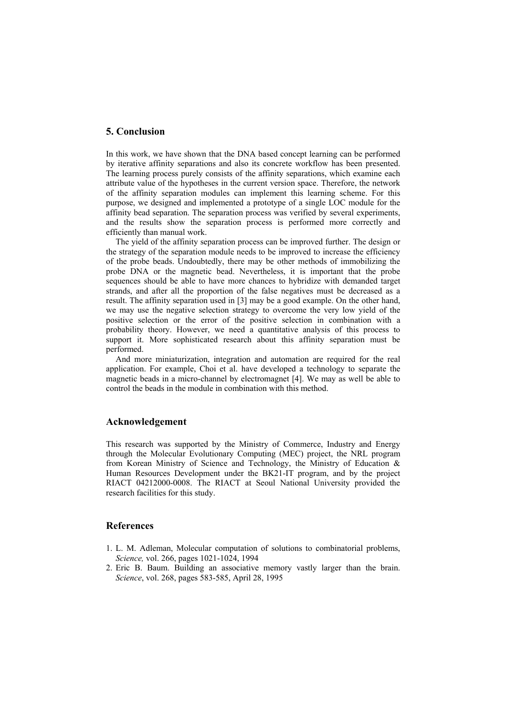### **5. Conclusion**

In this work, we have shown that the DNA based concept learning can be performed by iterative affinity separations and also its concrete workflow has been presented. The learning process purely consists of the affinity separations, which examine each attribute value of the hypotheses in the current version space. Therefore, the network of the affinity separation modules can implement this learning scheme. For this purpose, we designed and implemented a prototype of a single LOC module for the affinity bead separation. The separation process was verified by several experiments, and the results show the separation process is performed more correctly and efficiently than manual work.

The yield of the affinity separation process can be improved further. The design or the strategy of the separation module needs to be improved to increase the efficiency of the probe beads. Undoubtedly, there may be other methods of immobilizing the probe DNA or the magnetic bead. Nevertheless, it is important that the probe sequences should be able to have more chances to hybridize with demanded target strands, and after all the proportion of the false negatives must be decreased as a result. The affinity separation used in [[3\]](#page-9-5) may be a good example. On the other hand, we may use the negative selection strategy to overcome the very low yield of the positive selection or the error of the positive selection in combination with a probability theory. However, we need a quantitative analysis of this process to support it. More sophisticated research about this affinity separation must be performed.

And more miniaturization, integration and automation are required for the real application. For example, Choi et al. have developed a technology to separate the magnetic beads in a micro-channel by electromagnet [[4\]](#page-9-0). We may as well be able to control the beads in the module in combination with this method.

#### **Acknowledgement**

This research was supported by the Ministry of Commerce, Industry and Energy through the Molecular Evolutionary Computing (MEC) project, the NRL program from Korean Ministry of Science and Technology, the Ministry of Education & Human Resources Development under the BK21-IT program, and by the project RIACT 04212000-0008. The RIACT at Seoul National University provided the research facilities for this study.

# **References**

- <span id="page-8-1"></span>1. L. M. Adleman, Molecular computation of solutions to combinatorial problems, *Science,* vol. 266, pages 1021-1024, 1994
- <span id="page-8-0"></span>2. Eric B. Baum. Building an associative memory vastly larger than the brain. *Science*, vol. 268, pages 583-585, April 28, 1995